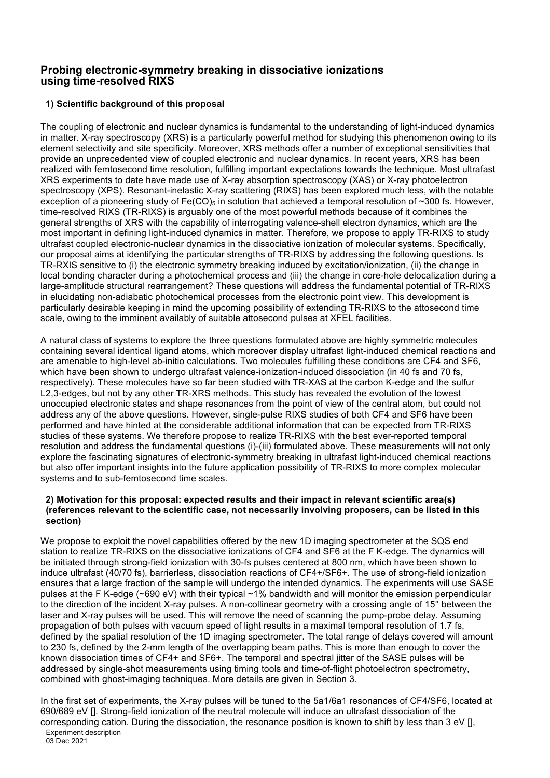# **Probing electronic-symmetry breaking in dissociative ionizations using time-resolved RIXS**

# **1) Scientific background of this proposal**

The coupling of electronic and nuclear dynamics is fundamental to the understanding of light-induced dynamics in matter. X-ray spectroscopy (XRS) is a particularly powerful method for studying this phenomenon owing to its element selectivity and site specificity. Moreover, XRS methods offer a number of exceptional sensitivities that provide an unprecedented view of coupled electronic and nuclear dynamics. In recent years, XRS has been realized with femtosecond time resolution, fulfilling important expectations towards the technique. Most ultrafast XRS experiments to date have made use of X-ray absorption spectroscopy (XAS) or X-ray photoelectron spectroscopy (XPS). Resonant-inelastic X-ray scattering (RIXS) has been explored much less, with the notable exception of a pioneering study of  $Fe(CO)_{5}$  in solution that achieved a temporal resolution of ~300 fs. However, time-resolved RIXS (TR-RIXS) is arguably one of the most powerful methods because of it combines the general strengths of XRS with the capability of interrogating valence-shell electron dynamics, which are the most important in defining light-induced dynamics in matter. Therefore, we propose to apply TR-RIXS to study ultrafast coupled electronic-nuclear dynamics in the dissociative ionization of molecular systems. Specifically, our proposal aims at identifying the particular strengths of TR-RIXS by addressing the following questions. Is TR-RXIS sensitive to (i) the electronic symmetry breaking induced by excitation/ionization, (ii) the change in local bonding character during a photochemical process and (iii) the change in core-hole delocalization during a large-amplitude structural rearrangement? These questions will address the fundamental potential of TR-RIXS in elucidating non-adiabatic photochemical processes from the electronic point view. This development is particularly desirable keeping in mind the upcoming possibility of extending TR-RIXS to the attosecond time scale, owing to the imminent availably of suitable attosecond pulses at XFEL facilities.

A natural class of systems to explore the three questions formulated above are highly symmetric molecules containing several identical ligand atoms, which moreover display ultrafast light-induced chemical reactions and are amenable to high-level ab-initio calculations. Two molecules fulfilling these conditions are CF4 and SF6, which have been shown to undergo ultrafast valence-ionization-induced dissociation (in 40 fs and 70 fs, respectively). These molecules have so far been studied with TR-XAS at the carbon K-edge and the sulfur L2,3-edges, but not by any other TR-XRS methods. This study has revealed the evolution of the lowest unoccupied electronic states and shape resonances from the point of view of the central atom, but could not address any of the above questions. However, single-pulse RIXS studies of both CF4 and SF6 have been performed and have hinted at the considerable additional information that can be expected from TR-RIXS studies of these systems. We therefore propose to realize TR-RIXS with the best ever-reported temporal resolution and address the fundamental questions (i)-(iii) formulated above. These measurements will not only explore the fascinating signatures of electronic-symmetry breaking in ultrafast light-induced chemical reactions but also offer important insights into the future application possibility of TR-RIXS to more complex molecular systems and to sub-femtosecond time scales.

### **2) Motivation for this proposal: expected results and their impact in relevant scientific area(s) (references relevant to the scientific case, not necessarily involving proposers, can be listed in this section)**

We propose to exploit the novel capabilities offered by the new 1D imaging spectrometer at the SQS end station to realize TR-RIXS on the dissociative ionizations of CF4 and SF6 at the F K-edge. The dynamics will be initiated through strong-field ionization with 30-fs pulses centered at 800 nm, which have been shown to induce ultrafast (40/70 fs), barrierless, dissociation reactions of CF4+/SF6+. The use of strong-field ionization ensures that a large fraction of the sample will undergo the intended dynamics. The experiments will use SASE pulses at the F K-edge (~690 eV) with their typical ~1% bandwidth and will monitor the emission perpendicular to the direction of the incident X-ray pulses. A non-collinear geometry with a crossing angle of 15° between the laser and X-ray pulses will be used. This will remove the need of scanning the pump-probe delay. Assuming propagation of both pulses with vacuum speed of light results in a maximal temporal resolution of 1.7 fs, defined by the spatial resolution of the 1D imaging spectrometer. The total range of delays covered will amount to 230 fs, defined by the 2-mm length of the overlapping beam paths. This is more than enough to cover the known dissociation times of CF4+ and SF6+. The temporal and spectral jitter of the SASE pulses will be addressed by single-shot measurements using timing tools and time-of-flight photoelectron spectrometry, combined with ghost-imaging techniques. More details are given in Section 3.

Experiment description In the first set of experiments, the X-ray pulses will be tuned to the 5a1/6a1 resonances of CF4/SF6, located at 690/689 eV []. Strong-field ionization of the neutral molecule will induce an ultrafast dissociation of the corresponding cation. During the dissociation, the resonance position is known to shift by less than 3 eV [],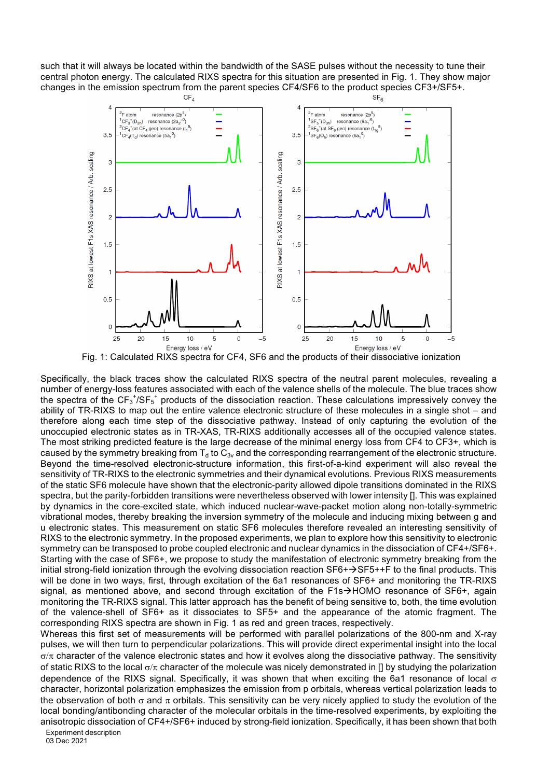such that it will always be located within the bandwidth of the SASE pulses without the necessity to tune their central photon energy. The calculated RIXS spectra for this situation are presented in Fig. 1. They show major changes in the emission spectrum from the parent species CF4/SF6 to the product species CF3+/SF5+.



Fig. 1: Calculated RIXS spectra for CF4, SF6 and the products of their dissociative ionization

Specifically, the black traces show the calculated RIXS spectra of the neutral parent molecules, revealing a number of energy-loss features associated with each of the valence shells of the molecule. The blue traces show the spectra of the  $CF_3$ <sup>+</sup>/SF<sub>5</sub><sup>+</sup> products of the dissociation reaction. These calculations impressively convey the ability of TR-RIXS to map out the entire valence electronic structure of these molecules in a single shot – and therefore along each time step of the dissociative pathway. Instead of only capturing the evolution of the unoccupied electronic states as in TR-XAS, TR-RIXS additionally accesses all of the occupied valence states. The most striking predicted feature is the large decrease of the minimal energy loss from CF4 to CF3+, which is caused by the symmetry breaking from  $T_d$  to  $C_{3v}$  and the corresponding rearrangement of the electronic structure. Beyond the time-resolved electronic-structure information, this first-of-a-kind experiment will also reveal the sensitivity of TR-RIXS to the electronic symmetries and their dynamical evolutions. Previous RIXS measurements of the static SF6 molecule have shown that the electronic-parity allowed dipole transitions dominated in the RIXS spectra, but the parity-forbidden transitions were nevertheless observed with lower intensity []. This was explained by dynamics in the core-excited state, which induced nuclear-wave-packet motion along non-totally-symmetric vibrational modes, thereby breaking the inversion symmetry of the molecule and inducing mixing between g and u electronic states. This measurement on static SF6 molecules therefore revealed an interesting sensitivity of RIXS to the electronic symmetry. In the proposed experiments, we plan to explore how this sensitivity to electronic symmetry can be transposed to probe coupled electronic and nuclear dynamics in the dissociation of CF4+/SF6+. Starting with the case of SF6+, we propose to study the manifestation of electronic symmetry breaking from the initial strong-field ionization through the evolving dissociation reaction  $SFG+\rightarrow SFS++F$  to the final products. This will be done in two ways, first, through excitation of the 6a1 resonances of SF6+ and monitoring the TR-RIXS signal, as mentioned above, and second through excitation of the  $F1s\rightarrow HOMO$  resonance of SF6+, again monitoring the TR-RIXS signal. This latter approach has the benefit of being sensitive to, both, the time evolution of the valence-shell of SF6+ as it dissociates to SF5+ and the appearance of the atomic fragment. The corresponding RIXS spectra are shown in Fig. 1 as red and green traces, respectively.

Whereas this first set of measurements will be performed with parallel polarizations of the 800-nm and X-ray pulses, we will then turn to perpendicular polarizations. This will provide direct experimental insight into the local  $\sigma/\pi$  character of the valence electronic states and how it evolves along the dissociative pathway. The sensitivity of static RIXS to the local  $\sigma/\pi$  character of the molecule was nicely demonstrated in [] by studying the polarization dependence of the RIXS signal. Specifically, it was shown that when exciting the 6a1 resonance of local  $\sigma$ character, horizontal polarization emphasizes the emission from p orbitals, whereas vertical polarization leads to the observation of both  $\sigma$  and  $\pi$  orbitals. This sensitivity can be very nicely applied to study the evolution of the local bonding/antibonding character of the molecular orbitals in the time-resolved experiments, by exploiting the anisotropic dissociation of CF4+/SF6+ induced by strong-field ionization. Specifically, it has been shown that both

Experiment description

03 Dec 2021